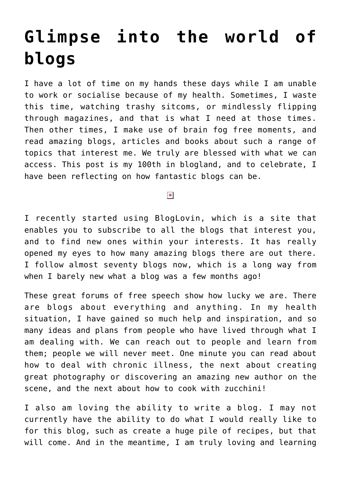## **[Glimpse into the world of](https://www.glimpsinggembles.com/2013/07/11/glimpse-into-the-world-of-blogs/) [blogs](https://www.glimpsinggembles.com/2013/07/11/glimpse-into-the-world-of-blogs/)**

I have a lot of time on my hands these days while I am unable to work or socialise because of my health. Sometimes, I waste this time, watching trashy sitcoms, or mindlessly flipping through magazines, and that is what I need at those times. Then other times, I make use of brain fog free moments, and read amazing blogs, articles and books about such a range of topics that interest me. We truly are blessed with what we can access. This post is my 100th in blogland, and to celebrate, I have been reflecting on how fantastic blogs can be.

## $\pmb{\times}$

I recently started using BlogLovin, which is a site that enables you to subscribe to all the blogs that interest you, and to find new ones within your interests. It has really opened my eyes to how many amazing blogs there are out there. I follow almost seventy blogs now, which is a long way from when I barely new what a blog was a few months ago!

These great forums of free speech show how lucky we are. There are blogs about everything and anything. In my health situation, I have gained so much help and inspiration, and so many ideas and plans from people who have lived through what I am dealing with. We can reach out to people and learn from them; people we will never meet. One minute you can read about how to deal with chronic illness, the next about creating great photography or discovering an amazing new author on the scene, and the next about how to cook with zucchini!

I also am loving the ability to write a blog. I may not currently have the ability to do what I would really like to for this blog, such as create a huge pile of recipes, but that will come. And in the meantime, I am truly loving and learning